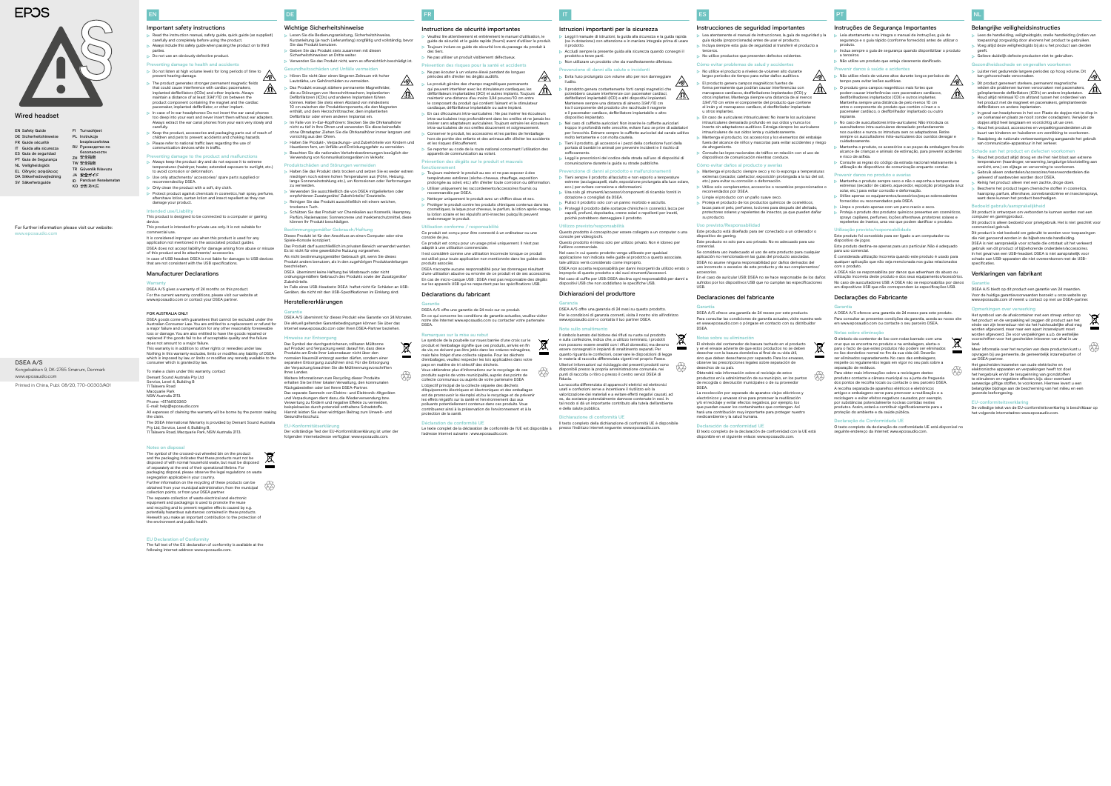DE

## Wichtige Sicherheitshinweise

- Lesen Sie die Bedienungsanleitung, Sicherheitshinweise, Kurzanleitung (je nach Lieferumfang) sorgfältig und vollständig, bevor Sie das Produkt benutzen.
- Geben Sie das Produkt stets zusammen mit diesen
- Sicherheitshinweisen an Dritte weiter.
- Verwenden Sie das Produkt nicht, wenn es offensichtlich beschädigt ist.
- ndheitsschäden und Unfälle ve Hören Sie nicht über einen längeren Zeitraum mit hoher
- Lautstärke, um Gehörschäden zu ver
- Das Produkt erzeugt stärkere permanente Magnetfelder, die zu Störungen von Herzschrittmachern, implantierten Defibrillatoren (ICDs) und anderen Implantaten führen können. Halten Sie stets einen Abstand von mindestens 10 cm zwischen der Produktkomponente, die den Magneten enthält, und dem Herzschrittmacher, dem implantierten
- Defibrillator oder einem anderen Implantat ein. Im Falle von In-Ear-Kopfhörern: Stecken Sie die Ohrkanalhörer nicht zu tief in Ihre Ohren und verwenden Sie diese keinesfalls
- ohne Ohradapter. Ziehen Sie die Ohrkanalhörer immer langsam und vorsichtig aus den Ohren. Halten Sie Produkt-, Verpackungs- und Zubehörteile von Kindern und
- Haustieren fern, um Unfälle und Erstickungsgefahr zu vermeiden. Beachten Sie die nationalen Verkehrsbestimmungen bezüglich der Verwendung von Kommunikationsgeräten im Verkehr.

#### Produktschäden und Störungen

rdnungsgemäßem Gebrauch des Produkts sowie der Zusatzgeräte Zubehörteile. Im Falle eines USB-Headsets: DSEA haftet nicht für Schäden an USB-

Weitere Informationen zum Recycling dieser Produkte erhalten Sie bei Ihrer lokalen Verwaltung, den kommunaler Rückgabestellen oder bei Ihrem DSEA-Partner. Das separate Sammeln von Elektro- und Elektronik-Altgeräte

- Halten Sie das Produkt stets trocken und setzen Sie es weder extrem niedrigen noch extrem hohen Temperaturen aus (Föhn, Heizung, lange Sonneneinstrahlung etc.), um Korrosionen oder Verformungen zu vermeiden.
- Verwenden Sie ausschließlich die von DSEA mitgelieferten oder empfohlenen Zusatzgeräte/ Zubehörteile/ Ersatzteile. Reinigen Sie das Produkt ausschließlich mit einem weichen, trockenen Tuch.
- Schützen Sie das Produkt vor Chemikalien aus Kosmetik, Haarspray, Parfüm, Rasierwasser, Sonnencreme und Insektenschutzmittel, diese können Ihr Produkt beschädigen.

## ungsgemäßer Gebrauch/Haftung

beise durch potenziell enthaltene Schadstoffe Hiermit leisten Sie einen wichtigen Beitrag zum Umwelt- und

Der vollständige Text der EU-Konformitätserklärung ist unter der folgenden Internetadresse verfügbar: www.eposaudio

FI Turvaohjeet PL Instrukcje RU Руководство по ZH 安全指南 TW 安全指南 TR Güvenlik Kılavuzu JA 安全ガイド ID Panduan Keselamatan KO 안전 가이드

> Dieses Produkt ist für den Anschluss an einen Computer oder eine Spiele-Konsole konzipiert. Das Produkt darf ausschließlich im privaten Bereich verwendet werden. Es ist nicht für eine gewerbliche Nutzung vorgesehen. Als nicht bestimmungsgemäßer Gebrauch gilt, wenn Sie dieses

Produkt anders benutzen, als in den zugehörigen Produktanleitungen beschrieben. DSEA übernimmt keine Haftung bei Missbrauch oder nicht

Geräten, die nicht mit den USB-Spezifikationen im Einklang sind.

# Herstellererklärungen

Garantie DSEA A/S übernimmt für dieses Produkt eine Garantie von 24 Monaten. Die aktuell geltenden Garantiebedingungen können Sie über das Internet www.eposaudio.com oder Ihren DSEA-Partner beziehen.

#### Hinweise zur Entsorgung

Das Symbol der durchgestrichenen, rollbaren Mülltonne auf Produkt und Verpackung weist darauf hin, dass diese Produkte am Ende ihrer Lebensdauer nicht über den normalen Hausmüll entsorgt werden dürfen, sondern einer separaten Entsorgung zuzuführen sind. Für die Entsorgung r Verpackung beachten Sie die Mülltrennungsvorsch Ihres Landes.

Ce produit est conçu pour être connecté à un ordinateur ou une console de jeu. Ce produit est conçu pour un usage privé uniquement. Il n'est pas adapté à une utilisation commercia

# und Verpackungen dient dazu, die Wiederverwendung bzw. Verwertung zu fördern und negative Effekte zu vermeiden,

Gesundheitsschutz.

#### EU-Konformitätserklärung

## For further information please visit our website: www.eposaudio.com

Le texte complet de la déclaration de conformité de l'UE est disponible à l'adresse internet suivante : www.eposaudio.com

bezpieczeństwa безопасности

**EPOS** 



FR

⚠

 $\mathbb{A}$ 

- Instructions de sécurité importantes Veuillez lire attentivement et entièrement le manuel d'utilisation, le
- guide de sécurité et le guide rapide (fourni) avant d'utiliser le produit. Toujours inclure ce guide de sécurité lors du passage du produit à
- des tiers. > Ne pas utiliser un produit visiblement défectueux
- Prévention des risques pour la santé et accidents
- Ne pas écouter à un volume élevé pendant de longues périodes afin d'éviter les dégâts auditifs.
- 
- $\triangleright$  Le produit génère des champs magnétiques permanents<br>qui peuvent interférer avec les stimulateurs cardiaques, les<br>défibrillateurs implantables (DCI) et autres implants. Toujours<br>maintenir une distance d'au moins 3,9 le composant du produit qui contient l'aimant et le stimulateur cardiaque, défibrillateur implantable ou autre implant. En cas d'écouteurs intra-auriculaires : Ne pas insérer les écouteurs
- intra-auriculaires trop profondément dans les oreilles et ne jamais les insérer sans adaptateurs auriculaires. Toujours extraire les écouteurs intra-auriculaires de vos oreilles doucement et soigneusement. Conserver le produit, les accessoires et les parties de l'emballage hors de portée des enfants et des animaux afin d'éviter les accidents
- et les risques d'étouffement. Se reporter au code de la route national concernant l'utilisation des appareils de communication au volant.

## Prévention des dégâts sur le produit et mauvai

**ty** fiducia.

- fonctionnement Toujours maintenir le produit au sec et ne pas exposer à des températures extrêmes (sèche-cheveux, chauffage, exposition prolongée au soleil, etc.) afin d'éviter toute corrosion ou déformation.
- Utiliser uniquement les raccordements/accessoires fournis ou recommandés par DSEA.
- Nettoyer uniquement le produit avec un chiffon doux et sec.
- Protéger le produit contre les produits chimiques contenus dans les iques, la laque pour cheveux, le parfum, la lotion après-rasage, la lotion solaire et les répulsifs anti-insectes puisqu'ils peuvent endommager le produit.

Il testo completo della dichiarazione di conformità UE è disponibile presso l'indirizzo internet seguente: www.eposaud

# Utilisation conforme / responsabilité

Il est considéré comme une utilisation incorrecte lorsque ce produit est utilisé pour toute application non mentionnée dans les guides des produits associés.

- Lea atentamente el manual de instrucciones, la guía de seguridad y la guía rápida (proporcionada) antes de usar el producto.
- Incluya siempre esta guía de seguridad al transferir el producto a terceros.
- $\triangleright$  No utilice productos que presenten defectos evidentes.
- Cómo evitar problemas de salud y accider No utilice el producto a niveles de volumen alto durante
- largos periodos de tiempo para evitar daños auditivos.
- El producto genera campos magnéticos fuertes de forma permanente que podrían causar interferencias con marcapasos cardíacos, desfibriladores implantados (ICD) y
- 3,94"/10 cm entre el componente del producto que contiene el imán y el marcapasos cardíaco, el desfibrilador implantado u otros implantes.  $\triangleright$  En caso de auriculares intrauriculares: No inserte los auriculares intrauriculares demasiado profundo en sus oídos y nunca los inserte sin adaptadores auditivos. Extraiga siempre los auriculares

DSEA n'accepte aucune responsabilité pour les dommages résultant d'une utilisation abusive ou erronée de ce produit et de ses accessoires En cas de micro-casque USB : DSEA n'est pas responsable des dégâts

- ntrauriculares de sus oídos lenta y cuidadosa Mantenga el producto, los accesorios y los elementos del embalaje fuera del alcance de niños y mascotas para evitar accidentes y riesgo
- de ahogamiento. Consulte las leyes nacionales de tráfico en relación con el uso de dispositivos de comunicación mientras conduce.

### Cómo evitar daños al producto y avería

sur les appareils USB qui ne respectent pas les spécifications USB. Déclarations du fabricant

# Garantie

#### DSEA A/S offre une garantie de 24 mois sur ce produit. En ce qui concerne les conditions de garantie actuelles, veuillez visiter notre site Internet www.eposaudio.com ou contacter votre partenaire DSEA.

### Remarques sur la mise au rebut

Le symbole de la poubelle sur roues barrée d'une croix sur le  $\forall$ produit et l'emballage signifie que ces produits, arrivés en fin de vie, ne doivent pas être jetés dans les ordures ménagères,  $\sim$ mais faire l'objet d'une collecte séparée. Pour les déchets mballages, veuillez respecter les lois applicables dans votre pays en matière de tri sélectif des déchets. Vous obtiendrez plus d'informations sur le recyclage de ces produits auprès de votre municipalité, auprès des points de cte communaux ou auprès de votre partenaire DSEA L'objectif principal de la collecte séparée des déchets d'équipements électriques et électroniques et des emballages est de promouvoir le réemploi et/ou le recyclage et de prévenir les effets négatifs sur la santé et l'environnement dus aux polluants potentiellement contenus dans ces produits. Vous contribuerez ainsi à la préservation de l'environnement et à la protection de la santé.

productos en la administración de su municipio, en los puntos de recogida o devolución municipales o de su proveedo DSEA. tik<br>Gr

#### Déclaration de conformité UE

E

 $\cancel{R}$ 

IT

# Istruzioni importanti per la sicurezza

## Leggi il manuale di istruzioni, la guida alla sicurezza e la guida rapida (se in dotazione) con attenzione e in maniera integrale prima di usare

il prodotto.

l'udito.

 $\sqrt{8}$ 

- Accludi sempre la presente guida alla sicurezza quando consegni il prodotto a terze parti. Non utilizzare un prodotto che sia manifestamente difettoso.
- Prevenzione di danni alla salute e incide
- $\triangleright$  Evita l'uso prolungato con volume alto per non danneggiare
- Il prodotto genera costantemente forti campi magnetici che potrebbero causare interferenze con pacemaker cardiaci, defibrillatori impiantabili (ICD) e altri dispositivi impiantati. Mantenere sempre una distanza di almeno 3,94"/10 cm tra il componente del prodotto che racchiude il magnete e il pacemaker cardiaco, defibrillatore impiantabile o altro dispositivo impiantato. Nel caso di cuffiette auricolari: Non inserire le cuffiette auricolari
- troppo in profondità nelle orecchie, evitare l'uso se prive di adattatori per l'orecchio. Estrarre sempre le cuffiette auricolari dal canale uditivo molto lentamente e con molta cautela.
- Tieni il prodotto, gli accessori e i pezzi della confezione fuori della portata di bambini e animali per prevenire incidenti e il rischio di Leggi le prescrizioni del codice della strada sull'uso di dispositivi di

ositivo de jogos Este produto destina-se apenas para uso particular. Não é adequado

A DSEA não se responsabiliza por danos que advenham do abuso ou ação incorreta deste produto e dos seus equipar

**Garantia** A DSEA A/S oferece uma garantia de 24 meses para este produto. Para consultar as presentes condições da garantia, aceda ao nosso site em www.eposaudio.com ou contacte o seu parceiro DSEA.

soffocamento.

# comunicazione durante la guida su strade pubbliche.

- Prevenzione di danni al prodotto e malfunzionamenti Tieni sempre il prodotto all'asciutto e non esporlo a temperature estreme (asciugacapelli, stufe, esposizione prolungata alla luce solare, ecc.) per evitare corrosione e deformazioni.
- Usa solo gli strumenti/accessori/componenti di ricambio forniti in dotazione o consigliati da DSEA. Pulisci il prodotto solo con un panno morbido e asciutto.
- Proteggi il prodotto dalle sostanze chimiche in cosmetici, lacca per capelli, profumi, dopobarba, creme solari e repellenti per insetti, poiché potrebbero danneggiare il prodotto.

# Utilizzo previsto/re

- Questo prodotto è concepito per essere collegato a un computer o una nsole per videogioch Questo prodotto è inteso solo per utilizzo privato. Non è idoneo per
- 'utilizzo commerciale. Nel caso in cui questo prodotto venga utilizzato per qualsias
- applicazione non indicata nelle guide al prodotto a questo associate, tale utilizzo verrà considerato come improprio. DSEA non accetta responsabilità per danni insorgenti da utilizzo errato o
- improprio di questo prodotto e dei suoi strumenti/accessori. Nel caso di cuffie per USB: DSEA declina ogni responsabilità per danni a dispositivi USB che non soddisfano le specifiche USB.

# Dichiarazioni del produttore

Garanzia

DSEA A/S offre una garanzia di 24 mesi su questo prodotto. Per le condizioni di garanzia correnti, visita il nostro sito all'indirizzo www.eposaudio.com o contatta il tuo partner DSEA.

# Note sullo smaltimento

Il simbolo barrato del bidone dei rifiuti su ruote sul prodotto e sulla confezione, indica che, a utilizzo terminato, i prodotti non possono essere smaltiti con i rifiuti domestici, ma devono **CONTRACTOR** essere consegnati in impianti di smaltimento separati. Per quanto riguarda le confezioni, osservare le disposizioni di legge in materia di raccolta differenziata vigenti nel proprio Paese. Ulteriori informazioni sul riciclaggio dei presenti prodotti sono **tip** disponibili presso la propria amministrazione comunale, nei punti di raccolta o ritiro o presso il centro servizi DSEA di

- Read the instruction manual, safety guide, quick guide (as supplied) carefully and completely before using the product. Always include this safety guide when passing the product on to third
- parties.  $\triangleright$  Do not use an obviously defective product.
- Preventing damage to health and accidents
- Do not listen at high volume levels for long periods of time to  $\bigotimes$ prevent hearing damage. The product generates stronger permanent magnetic fields that could cause interference with cardiac pacemakers,
- $\mathbb{A}$ implanted defibrillators (ICDs) and other implants. Always maintain a distance of at least 3.94"/10 cm between the product component containing the magnet and the cardiac pacemaker, implanted defibrillator, or other implant.
- In case of in-ear headphones: Do not insert the ear canal phones too deep into your ears and never insert them without ear adapters. Always extract the ear canal phones from your ears very slowly and carefully.
- Keep the product, accessories and packaging parts out of reach of children and pets to prevent accidents and choking hazards. Please refer to national traffic laws regarding the use of communication devices while in traffi

# Inting damage to the product and malfunction

#### La raccolta differenziata di apparecchi elettrici ed elettronici usati e confezioni serve a incentivare il riutilizzo e/o la valorizzazione dei materiali e a evitare effetti negativi causati, ad

es., da sostanze potenzialmente dannose contenute in essi. In tal modo si dà un importante contributo alla tutela dell'ambiente

e della salute pubblica.

#### Dichiarazione di conformità UE

Kongebakken 9, DK-2765 Smørum, Denmark www.eposaudio.com DSEA A/S

Printed in China, Publ. 08/20, 770-00303/A01

## Wired headset

- EN Safety Guide DE Sicherheitshinweise Guide sécurité FR Guida alla sicurezza IT ES Guía de seguridad Guia de Segurança PT NL Veiligheidsgids
- Οδηγός ασφάλειας EL
- DA Sikkerhedsvejledning SV Säkerhetsguide
- 

ES

# Instrucciones de seguridad importantes

- Always keep the product dry and do not expose it to extren temperatures (hairdryer, heater, extended exposure to sunlight, etc.) to avoid corrosion or deformation. Use only attachments/ accessories/ spare parts supplied or
- mended by DSEA.
- Only clean the product with a soft, dry cloth.
- Protect product against chemicals in cosmetics, hair spray, perfume, aftershave lotion, suntan lotion and insect repellent as they can damage your product Intended use/Liability

- This product is intended for private use only. It is not suitable for commercial use. It is considered improper use when this product is used for any a contribution in mentioned in the associated product quides. DSEA does not accept liability for damage arising from abuse or misuse of this product and its attachments/ acc
- In case of USB headset: DSEA is not liable for damages to USB devices that are not consistent with the USB specification

DSEA goods come with guarantees that cannot be excluded under the Australian Consumer Law. You are entitled to a replacement or refund for a major failure and compensation for any other reasonably foreseeable loss or damage. You are also entitled to have the goods repaired or replaced if the goods fail to be of acceptable quality and the failure does not amount to a major failure. This warranty is in addition to other rights or remedies under law. Nothing in this warranty excludes, limits or modifies any liability of DSEA which is imposed by law, or limits or modifies any remedy available to the otros implantes. Mantenga siempre una distancia de al menos

consumer which is granted by law. To make a claim under this warranty, contact Demant Sound Australia Pty Ltd Service, Level 4, Building B 11 Talavera Road Macquarie Park

The symbol of the crossed-out wheeled bin on the product  $\boxtimes$ and the packaging indicates that these products must not be disposed of with normal household waste, but must be disposed of separately at the end of their operational lifetime. For packaging disposal, please observe the legal regulations on waste segregation applicable in your country. Further information on the recycling of these products can be<br>obtained from your municipal administration, from the municipal  $\bigoplus_{i=1}^N$ <br>collection points, or from your DSEA partner. ection points, or from your DSEA partner. The separate collection of waste electrical and electronic equipment and packagings is used to promote the reuse and recycling and to prevent negative effects caused by e.g. potentially hazardous substances contained in these products Herewith you make an important contribution to the protection of ment and public health.

- Mantenga el producto siempre seco y no lo exponga a temperaturas extremas (secador, calefactor, exposición prolongada a la luz del sol, etc.) para evitar su corrosión o deformación.
- Utilice solo complementos, accesorios o recambios proporcionados o mendados por DSEA.
- **Limpie el producto con un paño suave seco.**
- **Proteja el producto de los productos químicos de cosméticos.** lacas para el pelo, perfumes, lociones para después del afeitado, protectores solares y repelentes de insectos, ya que pueden dañar su producto.

# Uso previsto/Responsabilidad

Este producto está diseñado para ser conectado a un ordenador o dispositivo de gaming. Este producto es solo para uso privado. No es adecuado para uso

comercial. Se considera uso inadecuado el uso de este producto para cualquier aplicación no mencionada en las guías del producto asociadas.

DSEA no asume ninguna responsabilidad por daños derivados del uso incorrecto o excesivo de este producto y de sus complementos/ accesorios.

En el caso de auricular USB: DSEA no se hace responsable de los daños sufridos por los dispositivos USB que no cumplan las especificaciones USB.

# Declaraciones del fabricante

Garantía DSEA A/S ofrece una garantía de 24 meses por este producto. Para consultar las condiciones de garantía actuales, visite nuestra web

en www.eposaudio.com o póngase en contacto con su distribuidor

DSEA.

### Notas sobre su eliminación

El símbolo del contenedor de basura tachado en el producto y en el envase advierte de que estos productos no se deben desechar con la basura doméstica al final de su vida útil, sino que deben desecharse por separado. Para los envases, observe las prescripciones legales sobre separación de desechos de su país. Obtendrá más información sobre el reciclaje de estos

La recolección por separado de aparatos viejos eléctricos y electrónicos y envases sirve para promover la reutilización y/o el reciclaje y evitar efectos negativos, por ejemplo, los e puedan causar los contaminantes que contengan. hará una contribución muy importante para proteger nuestro medioambiente y la salud humana.

#### Declaración de conformidad UE

El texto completo de la declaración de conformidad con la UE está disponible en el siguiente enlace: www.eposaudio.com.

PT

 $\sqrt{V}$ 

# Instruções de Segurança Importantes

- Leia atentamente e na íntegra o manual de instruções, guia de segurança e o guia rápido (conforme fornecido) antes de utilizar o
- produto. Inclua sempre o guia de segurança quando disponibilizar o produto
- a terceiros.
- Não utilize um produto que esteja claramente danificado.
- Prevenir danos à saúde e acidentes Não utilize níveis de volume altos durante longos períodos de
- ⚠ tempo para evitar lesões auditivas.
	- O produto gera campos magnéticos mais fortes que podem causar interferências com pacemakers cardíacos, desfibrilhadores implantados (CDI) e outros implantes. Mantenha sempre uma distância de pelo menos 10 cm entre o componente do produto que contém o íman e o pacemaker cardíaco, o desfibrilhador implantado ou outro implante.
	- No caso de auscultadores intra-auriculares: Não introduza os auscultadores intra-auriculares demasiado profundamente nos ouvidos e nunca os introduza sem os adaptadores. Retire sempre os auscultadores intra-auriculares dos ouvidos devagar e
	- cuidadosamente. Mantenha o produto, os acessórios e as peças da embalagem fora do alcance de crianças e animais de estimação, para prevenir acidentes e risco de asfixia.
	- Consulte as regras do código da estrada nacional relativamente à utilização de dispositivos de comunicação enquanto conduz.
	- Prevenir danos no produto e avarias
	- Mantenha o produto sempre seco e não o exponha a temperaturas extremas (secador de cabelo, aquecedor, exposição prolongada à luz solar, etc.) para evitar corrosão e deformação.
	- Utilize apenas os equipamentos/acessórios/peças sob fornecidos ou recomendados pela DSEA.
	- $\triangleright$  Limpe o produto apenas com um pano macio e seco. Proteja o produto dos produtos químicos presentes em cosméticos,
	- sprays capilares, perfumes, loções aftershave, protetores solares e repelentes de insetos, uma vez que podem danificar o produto.

#### Utilização prevista/responsabilidade Este produto foi concebido para ser ligado a um computador ou

para uso comercial. É considerada utilização incorreta quando este produto é usado para qualquer aplicação que não seja mencionada nos guias relacionados com o produto.

No caso de auscultadores USB: A DSEA não se responsabiliza por danos em dispositivos USB que não correspondem às especificações USB.

# Declarações do Fabricante

#### Notas sobre eliminação

 $\cancel{\mathbb{R}}$ 

O símbolo do contentor de lixo com rodas barrado com uma  $\cancel{\nabla}$ cruz que se encontra no produto e na embalagem, alerta-o para o facto de que estes produtos não podem ser eliminados  $\mathbf{r}$ no lixo doméstico normal no fim da sua vida útil. Deverão ser eliminados separadamente. No caso das embalagens, respeite os regulamentos legais em vigor no seu país sobre a

separação de resíduos. Para obter mais informações sobre a reciclagem destes produtos contacte a câmara municipal ou a junta de freguesia dos pontos de recolha locais ou contacte o seu parceiro DSEA. A recolha separada de aparelhos elétricos e eletrónicos

Ť

antigos e embalagens serve para promover a reutilização e a reciclagem e evitar efeitos negativos causados, por exemplo, por substâncias potencialmente nocivas contidas nestes pdutos. Assim, estará a contribuir significativamente para a proteção do ambiente e da saúde pública.

#### Declaração de Conformidade UE

O texto completo da declaração de conformidade UE está disponível no seguinte endereço da Internet: www.eposaudio.com.

# NL

<u>/%\</u>

- Belangrijke veiligheidsinstructies  $\triangleright$  Lees de handleiding, veiligheidsgids, snelle handleiding (indien van
- toepassing) zorgvuldig door alvorens het product te gebruiken. Voeg altijd deze veiligheidsgids bij als u het product aan derden
- geeft. Gelieve duidelijk defecte producten niet te gebruiken.
- Gezondheidsschade en ongevallen voork
- Luister niet gedurende langere periodes op hoog volume. Dit
- kan gehoorschade veroorzaken.
- ⚠ Dit product genereert sterkere, permanent magnetische velden die problemen kunnen veroorzaken met pacemakers, geïmplanteerde defibrillators (ICD's) en andere implantaten. Houd altijd minimaal 10 cm afstand tussen het onderdeel van het product met de magneet en pacemakers, geïmplanteerde defibrillators en andere implantaten.
- $\triangleright$  In geval van headphones in het oor: Plaats de dopjes niet te diep in uw oorkanaal en plaats ze nooit zonder ooradapters. Verwijder de dopjes altijd heel langzaam en voorzichtig uit uw oren.
- Houd het product, accessoires en verpakkingsonderdelen uit de buurt van kinderen en huisdieren om verstikking te voorkomen. Raadpleeg de nationale verkeerswetgeving aangaande het gebruik
- van communicatie-apparatuur in het verkeer. chade aan het product en defecten voorkom
- Houd het product altijd droog en stel het niet bloot aan extreme temperaturen (haardroger, verwarming, langdurige blootstelling aan zonlicht, enz.) om slijtage en vervorming te voorkomen.
- Gebruik alleen onderdelen/accessoires/reserveonderdelen die geleverd of aanbevolen worden door DSEA.
- Reinig het product alleen met een zachte, droge doek. Bescherm het product tegen chemische stoffen in cosmetica, haarspray, parfum, aftershave, zonnebrandcrème en insectensprays, want deze kunnen het product beschadigen.

#### beld gebruik/aansprak

Dit product is ontworpen om verbonden te kunnen worden met een computer en gamingproduct. Dit product is alleen bedoeld voor privégebruik. Het is niet geschikt voor

commercieel gebruik. Dit product is niet bedoeld om gebruikt te worden voor toepassinger die niet genoemd worden in de bijbehorende handleiding. DSEA is niet aansprakelijk voor schade die ontstaat uit het verkeerd gebruik van dit product of bijbehorende onderdelen/accessoires. In het geval van een USB-headset: DSEA is niet aansprakelijk voor schade aan USB-apparaten die niet overeenkomen met de USB-specificaties.

#### Verklaringen van fabrikant

Garantie

DSEA A/S biedt op dit product een garantie van 24 maanden. Voor de huidige garantievoorwaarden bezoekt u onze website op www.eposaudio.com of neemt u contact op met uw DSEA-partner.

Opmerkingen over verwerking

Het symbool van de afvalcontainer met een streep erdoor op het product en de verpakking wil zeggen dit product aan het einde van zijn levensduur niet via het huishoudelijke afval mag worden afgevoerd, maar naar een apart inzamelpunt moet worden afgevoerd. Zie voor verpakkingen a.u.b. de wettelijke voorschriften voor het gescheiden inleveren van afval in uw

land.

Meer informatie over het recyclen van deze producten kunt u opvragen bij uw gemeente, de gemeentelijk inzamelpunten of

uw DSEA-partner.

Het gescheiden inzamelen van oude elektrische en elektronische apparaten en verpakkingen heeft tot doel het hergebruik en/of de terugwinning van grondstoffen te stimuleren en negatieve effecten, bijv. door eventueel wezige giftige stoffen, te voorkomen. Hiermee levert u een belangrijke bijdrage aan de bescherming van het milieu en een

gezonde leefomgeving.

EU-conformite

De volledige tekst van de EU-conformiteitsverklaring is beschikbaar op

ぬめ

het volgende internetadres: www.eposaudio.com.

EN

Important safety instructions

This product is designed to be connected to a computer or gaming device.

# Manufacturer Declarations

## Warranty

DSEA A/S gives a warranty of 24 months on this product. For the current warranty conditions, please visit our website at www.eposaudio.com or contact your DSEA partner.

#### FOR AUSTRALIA ONLY

#### NSW Australia 2113. Phone: +61744103360

E-mail: help@eposaudio.com All expenses of claiming the warranty will be borne by the person making

- the claim.
- The DSEA International Warranty is provided by Demant Sound Australia Pty Ltd, Service, Level 4, Building B, 11 Talavera Road, Macquarie Park, NSW Australia 2113.

#### Notes on disposal

#### EU Declaration of Conformity

The full text of the EU declaration of conformity is available at the following internet address: www.eposaudio.com.